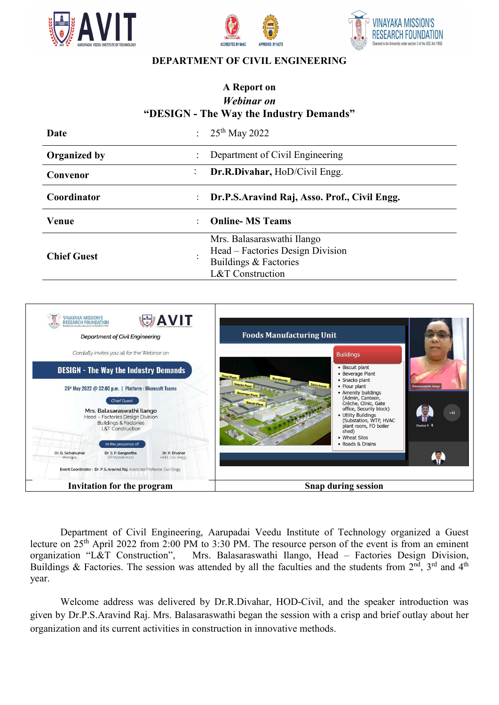





## **DEPARTMENT OF CIVIL ENGINEERING**

## **A Report on**  *Webinar on*  **"DESIGN - The Way the Industry Demands"**

| Date                       | : $25^{th}$ May 2022                                                                                        |
|----------------------------|-------------------------------------------------------------------------------------------------------------|
| <b>Organized by</b>        | Department of Civil Engineering                                                                             |
| $\ddot{\cdot}$<br>Convenor | Dr.R.Divahar, HoD/Civil Engg.                                                                               |
| Coordinator                | Dr.P.S.Aravind Raj, Asso. Prof., Civil Engg.                                                                |
| Venue                      | <b>Online-MS Teams</b>                                                                                      |
| <b>Chief Guest</b>         | Mrs. Balasaraswathi Ilango<br>Head – Factories Design Division<br>Buildings & Factories<br>L&T Construction |



Department of Civil Engineering, Aarupadai Veedu Institute of Technology organized a Guest lecture on  $25<sup>th</sup>$  April 2022 from 2:00 PM to 3:30 PM. The resource person of the event is from an eminent organization "L&T Construction", Mrs. Balasaraswathi Ilango, Head – Factories Design Division, Mrs. Balasaraswathi Ilango, Head – Factories Design Division, Buildings & Factories. The session was attended by all the faculties and the students from  $2^{n\overline{d}}$ ,  $3^{rd}$  and  $4^{th}$ year.

Welcome address was delivered by Dr.R.Divahar, HOD-Civil, and the speaker introduction was given by Dr.P.S.Aravind Raj. Mrs. Balasaraswathi began the session with a crisp and brief outlay about her organization and its current activities in construction in innovative methods.